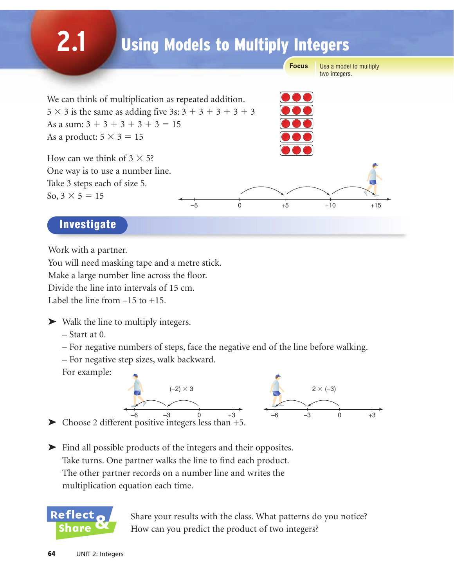# **2.1** Use a model to multiply two integers. **Focus** We can think of multiplication as repeated addition.  $5 \times 3$  is the same as adding five 3s:  $3 + 3 + 3 + 3 + 3$ As a sum:  $3 + 3 + 3 + 3 + 3 = 15$ As a product:  $5 \times 3 = 15$ How can we think of  $3 \times 5$ ? One way is to use a number line. Take 3 steps each of size 5. So,  $3 \times 5 = 15$ Investigate Using Models to Multiply Integers –5 0 +5 +10 +15

Work with a partner.

You will need masking tape and a metre stick. Make a large number line across the floor. Divide the line into intervals of 15 cm. Label the line from  $-15$  to  $+15$ .

➤ Walk the line to multiply integers.

– Start at 0.

- For negative numbers of steps, face the negative end of the line before walking.
- For negative step sizes, walk backward.

For example:



A  $-6$   $-3$  0  $+3$ <br>  $\triangleright$  Choose 2 different positive integers less than +5.

➤ Find all possible products of the integers and their opposites. Take turns. One partner walks the line to find each product. The other partner records on a number line and writes the multiplication equation each time.



Share your results with the class. What patterns do you notice? How can you predict the product of two integers?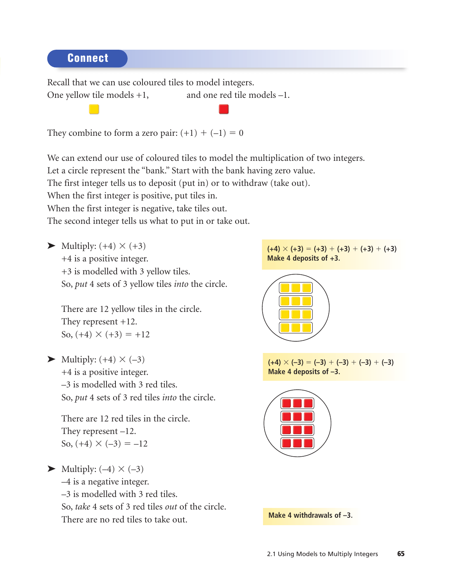Connect

Recall that we can use coloured tiles to model integers. One yellow tile models  $+1$ , and one red tile models  $-1$ .

They combine to form a zero pair:  $(+1) + (-1) = 0$ 

We can extend our use of coloured tiles to model the multiplication of two integers.

Let a circle represent the "bank." Start with the bank having zero value.

The first integer tells us to deposit (put in) or to withdraw (take out).

When the first integer is positive, put tiles in.

When the first integer is negative, take tiles out.

The second integer tells us what to put in or take out.

 $\blacktriangleright$  Multiply: (+4)  $\times$  (+3)

+4 is a positive integer.

+3 is modelled with 3 yellow tiles.

So, *put* 4 sets of 3 yellow tiles *into* the circle.

There are 12 yellow tiles in the circle. They represent +12. So,  $(+4) \times (+3) = +12$ 

 $\blacktriangleright$  Multiply: (+4)  $\times$  (-3) +4 is a positive integer. –3 is modelled with 3 red tiles. So, *put* 4 sets of 3 red tiles *into* the circle.

There are 12 red tiles in the circle. They represent –12. So,  $(+4) \times (-3) = -12$ 

 $\blacktriangleright$  Multiply: (-4)  $\times$  (-3) –4 is a negative integer. –3 is modelled with 3 red tiles. So, *take* 4 sets of 3 red tiles *out* of the circle. There are no red tiles to take out.

 $(+4) \times (+3) = (+3) + (+3) + (+3) + (+3)$ **Make 4 deposits of +3.**



$$
\frac{(+4) \times (-3) = (-3) + (-3) + (-3) + (-3)}{\text{Make 4 deposits of } -3.}
$$



**Make 4 withdrawals of –3.**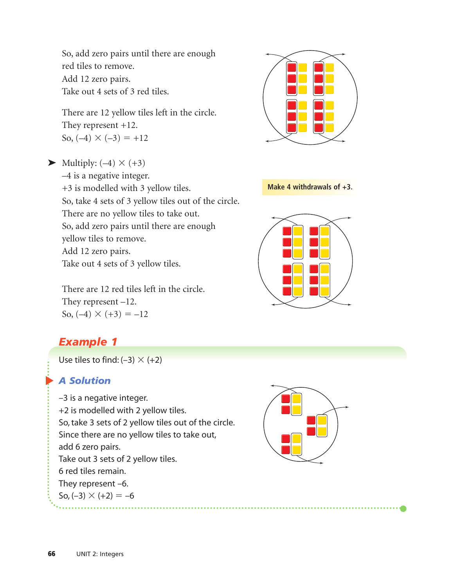So, add zero pairs until there are enough red tiles to remove. Add 12 zero pairs. Take out 4 sets of 3 red tiles.

There are 12 yellow tiles left in the circle. They represent +12. So,  $(-4) \times (-3) = +12$ 

 $\blacktriangleright$  Multiply: (-4)  $\times$  (+3) –4 is a negative integer. +3 is modelled with 3 yellow tiles. So, take 4 sets of 3 yellow tiles out of the circle. There are no yellow tiles to take out. So, add zero pairs until there are enough yellow tiles to remove. Add 12 zero pairs. Take out 4 sets of 3 yellow tiles.

There are 12 red tiles left in the circle. They represent –12. So,  $(-4) \times (+3) = -12$ 

# *Example 1*

Use tiles to find:  $(-3) \times (+2)$ 

## ▲ *A Solution*

–3 is a negative integer. +2 is modelled with 2 yellow tiles. So, take 3 sets of 2 yellow tiles out of the circle. Since there are no yellow tiles to take out, add 6 zero pairs. Take out 3 sets of 2 yellow tiles. 6 red tiles remain. They represent –6. So,  $(-3) \times (+2) = -6$ 





### **Make 4 withdrawals of +3.**

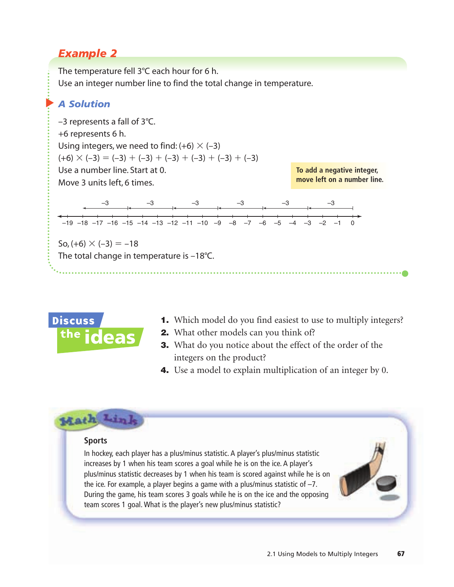## *Example 2*

The temperature fell 3°C each hour for 6 h. Use an integer number line to find the total change in temperature.

#### $\blacktriangleright$ *A Solution*

–3 represents a fall of 3°C. +6 represents 6 h. Using integers, we need to find:  $(+6) \times (-3)$  $(+6) \times (-3) = (-3) + (-3) + (-3) + (-3) + (-3) + (-3)$ Use a number line. Start at 0. Move 3 units left, 6 times.

**To add a negative integer, move left on a number line.**



 $\text{So, (+6)} \times (-3) = -18$ The total change in temperature is –18°C.



- 1. Which model do you find easiest to use to multiply integers?
- 2. What other models can you think of?

. . . . . . . . . . . . . . . . . . . .

- 3. What do you notice about the effect of the order of the integers on the product?
- **4.** Use a model to explain multiplication of an integer by 0.

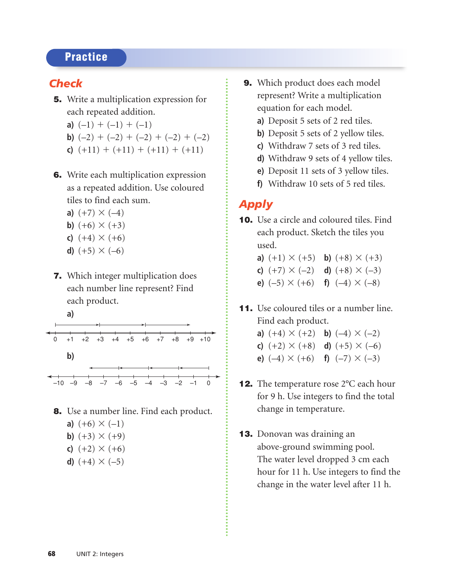## **Practice**

## *Check*

- 5. Write a multiplication expression for each repeated addition.
	- **a)**  $(-1) + (-1) + (-1)$
	- **b)**  $(-2) + (-2) + (-2) + (-2) + (-2)$
	- **c**)  $(+11) + (+11) + (+11) + (+11)$
- 6. Write each multiplication expression as a repeated addition. Use coloured tiles to find each sum.
	- **a)**  $(+7) \times (-4)$
	- **b)**  $(+6) \times (+3)$
	- **c)**  $(+4) \times (+6)$
	- **d)**  $(+5) \times (-6)$
- 7. Which integer multiplication does each number line represent? Find each product.



- 8. Use a number line. Find each product.
	- **a)**  $(+6) \times (-1)$
	- **b)**  $(+3) \times (+9)$
	- **c)**  $(+2) \times (+6)$
	- **d)**  $(+4) \times (-5)$
- 9. Which product does each model represent? Write a multiplication equation for each model.
	- **a)** Deposit 5 sets of 2 red tiles.
	- **b)** Deposit 5 sets of 2 yellow tiles.
	- **c)** Withdraw 7 sets of 3 red tiles.
	- **d)** Withdraw 9 sets of 4 yellow tiles.
	- **e)** Deposit 11 sets of 3 yellow tiles.
	- **f)** Withdraw 10 sets of 5 red tiles.

## *Apply*

- 10. Use a circle and coloured tiles. Find each product. Sketch the tiles you used.
	- **a)**  $(+1) \times (+5)$  **b)**  $(+8) \times (+3)$ **c)**  $(+7) \times (-2)$  **d)**  $(+8) \times (-3)$ **e)**  $(-5) \times (+6)$  **f)**  $(-4) \times (-8)$
- 11. Use coloured tiles or a number line. Find each product.
	- **a)**  $(+4) \times (+2)$  **b)**  $(-4) \times (-2)$ **c)**  $(+2) \times (+8)$  **d)**  $(+5) \times (-6)$ **e)**  $(-4) \times (+6)$  **f)**  $(-7) \times (-3)$
- 12. The temperature rose 2°C each hour for 9 h. Use integers to find the total change in temperature.
- 13. Donovan was draining an above-ground swimming pool. The water level dropped 3 cm each hour for 11 h. Use integers to find the change in the water level after 11 h.